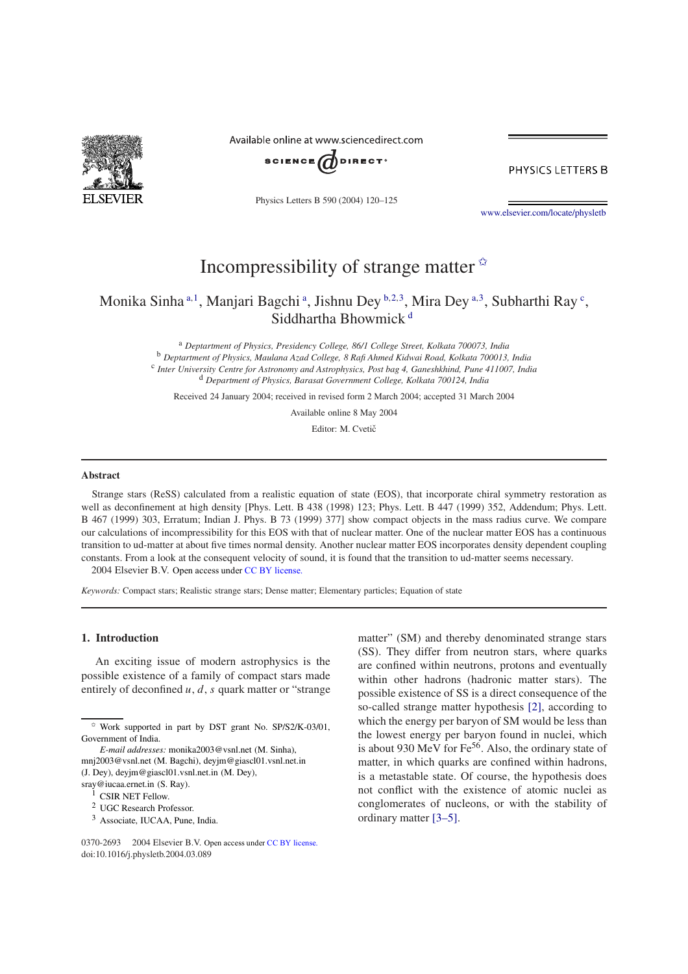

Available online at www.sciencedirect.com



PHYSICS LETTERS B

Physics Letters B 590 (2004) 120–125

www.elsevier.com/locate/physletb

# Incompressibility of strange matter  $\hat{X}$

Monika Sinha<sup>a, 1</sup>, Manjari Bagchi<sup>a</sup>, Jishnu Dey <sup>b, 2, 3</sup>, Mira Dey <sup>a, 3</sup>, Subharthi Ray <sup>c</sup>, Siddhartha Bhowmick<sup>d</sup>

<sup>a</sup> *Deptartment of Physics, Presidency College, 86/1 College Street, Kolkata 700073, India* <sup>b</sup> *Deptartment of Physics, Maulana Azad College, 8 Rafi Ahmed Kidwai Road, Kolkata 700013, India* c *Inter University Centre for Astronomy and Astrophysics, Post bag 4, Ganeshkhind, Pune 411007, India* <sup>d</sup> *Department of Physics, Barasat Government College, Kolkata 700124, India*

Received 24 January 2004; received in revised form 2 March 2004; accepted 31 March 2004

Available online 8 May 2004

Editor: M. Cvetič

#### **Abstract**

Strange stars (ReSS) calculated from a realistic equation of state (EOS), that incorporate chiral symmetry restoration as well as deconfinement at high density [Phys. Lett. B 438 (1998) 123; Phys. Lett. B 447 (1999) 352, Addendum; Phys. Lett. B 467 (1999) 303, Erratum; Indian J. Phys. B 73 (1999) 377] show compact objects in the mass radius curve. We compare our calculations of incompressibility for this EOS with that of nuclear matter. One of the nuclear matter EOS has a continuous transition to ud-matter at about five times normal density. Another nuclear matter EOS incorporates density dependent coupling constants. From a look at the consequent velocity of sound, it is found that the transition to ud-matter seems necessary.  $© 2004 Elsevier B.V. Open access under CC BY license.$ 

*Keywords:* Compact stars; Realistic strange stars; Dense matter; Elementary particles; Equation of state

### **1. Introduction**

An exciting issue of modern astrophysics is the possible existence of a family of compact stars made entirely of deconfined  $u, d, s$  quark matter or "strange"

- <sup>2</sup> UGC Research Professor.
- <sup>3</sup> Associate, IUCAA, Pune, India.

0370-2693 © 2004 Elsevier B.V. Open access under CC BY license. doi:10.1016/j.physletb.2004.03.089

matter" (SM) and thereby denominated strange stars (SS). They differ from neutron stars, where quarks are confined within neutrons, protons and eventually within other hadrons (hadronic matter stars). The possible existence of SS is a direct consequence of the so-called strange matter hypothesis [2], according to which the energy per baryon of SM would be less than the lowest energy per baryon found in nuclei, which is about 930 MeV for  $Fe^{56}$ . Also, the ordinary state of matter, in which quarks are confined within hadrons, is a metastable state. Of course, the hypothesis does not conflict with the existence of atomic nuclei as conglomerates of nucleons, or with the stability of ordinary matter [3–5].

 $\approx$  Work supported in part by DST grant No. SP/S2/K-03/01, Government of India.

*E-mail addresses:* monika2003@vsnl.net (M. Sinha), mnj2003@vsnl.net (M. Bagchi), deyjm@giascl01.vsnl.net.in (J. Dey), deyjm@giascl01.vsnl.net.in (M. Dey), sray@iucaa.ernet.in (S. Ray).

<sup>&</sup>lt;sup>1</sup> CSIR NET Fellow.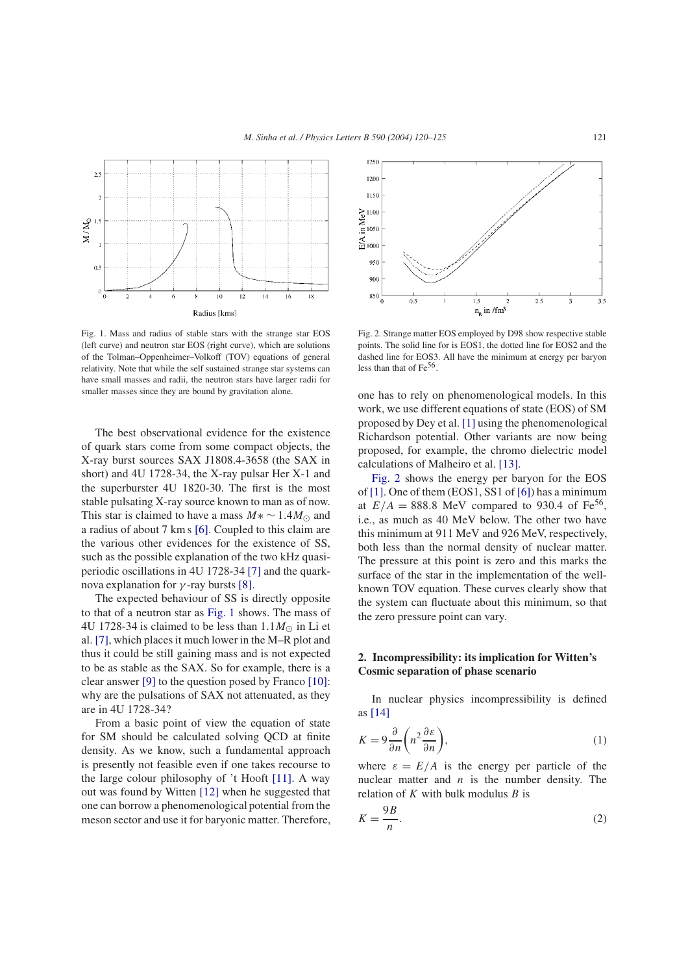

Fig. 1. Mass and radius of stable stars with the strange star EOS (left curve) and neutron star EOS (right curve), which are solutions of the Tolman–Oppenheimer–Volkoff (TOV) equations of general relativity. Note that while the self sustained strange star systems can have small masses and radii, the neutron stars have larger radii for smaller masses since they are bound by gravitation alone.

The best observational evidence for the existence of quark stars come from some compact objects, the X-ray burst sources SAX J1808.4-3658 (the SAX in short) and 4U 1728-34, the X-ray pulsar Her X-1 and the superburster 4U 1820-30. The first is the most stable pulsating X-ray source known to man as of now. This star is claimed to have a mass  $M \times \sim 1.4 M_{\odot}$  and a radius of about 7 km s [6]. Coupled to this claim are the various other evidences for the existence of SS, such as the possible explanation of the two kHz quasiperiodic oscillations in 4U 1728-34 [7] and the quarknova explanation for  $γ$ -ray bursts [8].

The expected behaviour of SS is directly opposite to that of a neutron star as Fig. 1 shows. The mass of 4U 1728-34 is claimed to be less than  $1.1M_{\odot}$  in Li et al. [7], which places it much lower in the M–R plot and thus it could be still gaining mass and is not expected to be as stable as the SAX. So for example, there is a clear answer [9] to the question posed by Franco [10]: why are the pulsations of SAX not attenuated, as they are in 4U 1728-34?

From a basic point of view the equation of state for SM should be calculated solving QCD at finite density. As we know, such a fundamental approach is presently not feasible even if one takes recourse to the large colour philosophy of 't Hooft [11]. A way out was found by Witten [12] when he suggested that one can borrow a phenomenological potential from the meson sector and use it for baryonic matter. Therefore,



Fig. 2. Strange matter EOS employed by D98 show respective stable points. The solid line for is EOS1, the dotted line for EOS2 and the dashed line for EOS3. All have the minimum at energy per baryon less than that of  $Fe^{56}$ .

one has to rely on phenomenological models. In this work, we use different equations of state (EOS) of SM proposed by Dey et al. [1] using the phenomenological Richardson potential. Other variants are now being proposed, for example, the chromo dielectric model calculations of Malheiro et al. [13].

Fig. 2 shows the energy per baryon for the EOS of [1]. One of them (EOS1, SS1 of [6]) has a minimum at  $E/A = 888.8$  MeV compared to 930.4 of Fe<sup>56</sup>, i.e., as much as 40 MeV below. The other two have this minimum at 911 MeV and 926 MeV, respectively, both less than the normal density of nuclear matter. The pressure at this point is zero and this marks the surface of the star in the implementation of the wellknown TOV equation. These curves clearly show that the system can fluctuate about this minimum, so that the zero pressure point can vary.

## **2. Incompressibility: its implication for Witten's Cosmic separation of phase scenario**

In nuclear physics incompressibility is defined as [14]

$$
K = 9\frac{\partial}{\partial n}\left(n^2 \frac{\partial \varepsilon}{\partial n}\right),\tag{1}
$$

where  $\varepsilon = E/A$  is the energy per particle of the nuclear matter and  $n$  is the number density. The relation of  $K$  with bulk modulus  $B$  is

$$
K = \frac{9B}{n}.\tag{2}
$$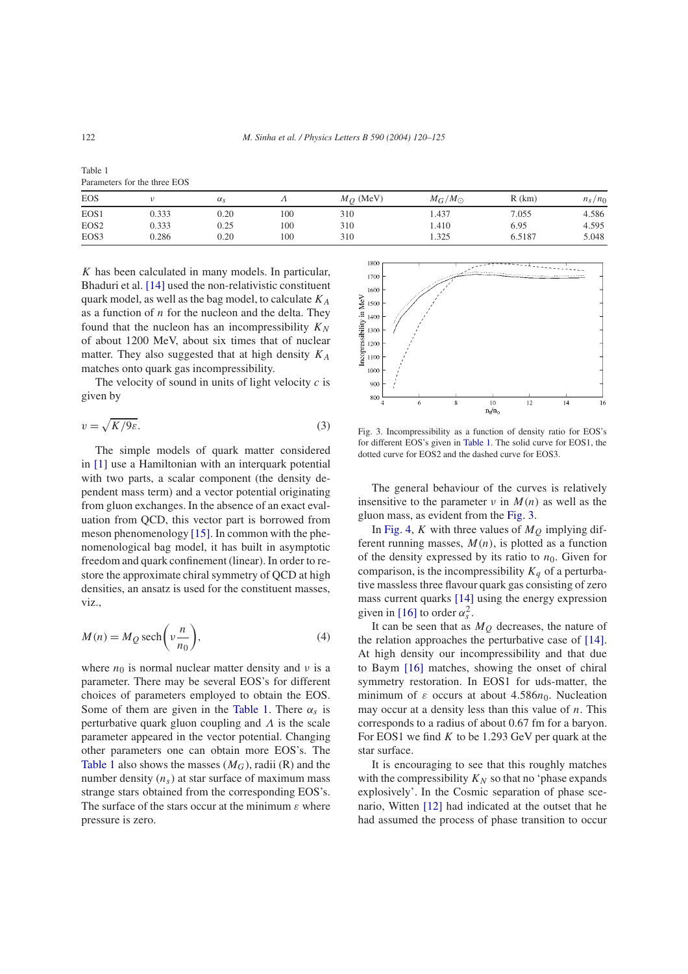| Table 1                      |  |  |
|------------------------------|--|--|
| Parameters for the three EOS |  |  |

| <b>EOS</b>       |       | $\alpha_{\rm s}$ |     | $M_Q$ (MeV) | $M_G/M_\odot$ | $R$ (km) | $n_s/n_0$ |
|------------------|-------|------------------|-----|-------------|---------------|----------|-----------|
| EOS1             | 0.333 | 0.20             | 100 | 310         | 1.437         | 7.055    | 4.586     |
| EOS <sub>2</sub> | 0.333 | 0.25             | 100 | 310         | . 410         | 6.95     | 4.595     |
| EOS3             | 0.286 | 0.20             | 100 | 310         | 1.325         | 6.5187   | 5.048     |

 $K$  has been calculated in many models. In particular, Bhaduri et al. [14] used the non-relativistic constituent quark model, as well as the bag model, to calculate  $K_A$ as a function of  $n$  for the nucleon and the delta. They found that the nucleon has an incompressibility  $K_N$ of about 1200 MeV, about six times that of nuclear matter. They also suggested that at high density  $K_A$ matches onto quark gas incompressibility.

The velocity of sound in units of light velocity  $c$  is given by

$$
v = \sqrt{K/9\varepsilon}.\tag{3}
$$

The simple models of quark matter considered in [1] use a Hamiltonian with an interquark potential with two parts, a scalar component (the density dependent mass term) and a vector potential originating from gluon exchanges. In the absence of an exact evaluation from QCD, this vector part is borrowed from meson phenomenology [15]. In common with the phenomenological bag model, it has built in asymptotic freedom and quark confinement (linear). In order to restore the approximate chiral symmetry of QCD at high densities, an ansatz is used for the constituent masses, viz.,

$$
M(n) = M_Q \operatorname{sech}\left(v \frac{n}{n_0}\right),\tag{4}
$$

where  $n_0$  is normal nuclear matter density and  $\nu$  is a parameter. There may be several EOS's for different choices of parameters employed to obtain the EOS. Some of them are given in the Table 1. There  $\alpha_s$  is perturbative quark gluon coupling and  $\Lambda$  is the scale parameter appeared in the vector potential. Changing other parameters one can obtain more EOS's. The Table 1 also shows the masses  $(M_G)$ , radii (R) and the number density  $(n<sub>s</sub>)$  at star surface of maximum mass strange stars obtained from the corresponding EOS's. The surface of the stars occur at the minimum  $\varepsilon$  where pressure is zero.



Fig. 3. Incompressibility as a function of density ratio for EOS's for different EOS's given in Table 1. The solid curve for EOS1, the dotted curve for EOS2 and the dashed curve for EOS3.

The general behaviour of the curves is relatively insensitive to the parameter  $\nu$  in  $M(n)$  as well as the gluon mass, as evident from the Fig. 3.

In Fig. 4, K with three values of  $M<sub>O</sub>$  implying different running masses,  $M(n)$ , is plotted as a function of the density expressed by its ratio to  $n_0$ . Given for comparison, is the incompressibility  $K_a$  of a perturbative massless three flavour quark gas consisting of zero mass current quarks [14] using the energy expression given in [16] to order  $\alpha_s^2$ .

It can be seen that as  $M<sub>O</sub>$  decreases, the nature of the relation approaches the perturbative case of [14]. At high density our incompressibility and that due to Baym [16] matches, showing the onset of chiral symmetry restoration. In EOS1 for uds-matter, the minimum of  $\varepsilon$  occurs at about 4.586 $n_0$ . Nucleation may occur at a density less than this value of  $n$ . This corresponds to a radius of about 0.67 fm for a baryon. For EOS1 we find  $K$  to be 1.293 GeV per quark at the star surface.

It is encouraging to see that this roughly matches with the compressibility  $K_N$  so that no 'phase expands' explosively'. In the Cosmic separation of phase scenario, Witten [12] had indicated at the outset that he had assumed the process of phase transition to occur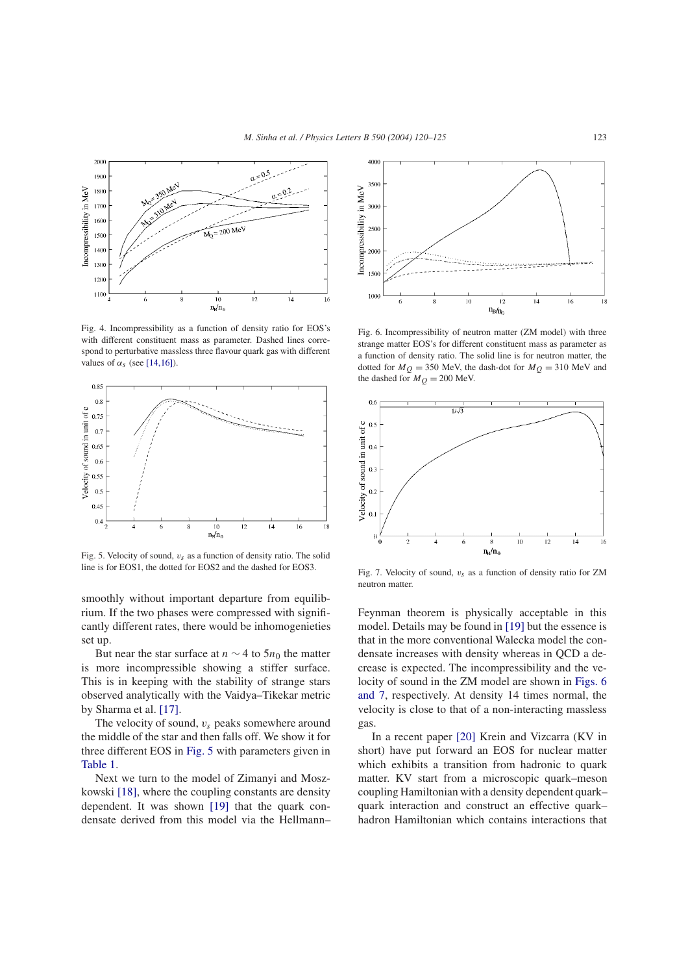

Fig. 4. Incompressibility as a function of density ratio for EOS's with different constituent mass as parameter. Dashed lines correspond to perturbative massless three flavour quark gas with different values of  $\alpha_s$  (see [14,16]).



Fig. 5. Velocity of sound,  $v_s$  as a function of density ratio. The solid line is for EOS1, the dotted for EOS2 and the dashed for EOS3.

smoothly without important departure from equilibrium. If the two phases were compressed with significantly different rates, there would be inhomogenieties set up.

But near the star surface at  $n \sim 4$  to 5 $n_0$  the matter is more incompressible showing a stiffer surface. This is in keeping with the stability of strange stars observed analytically with the Vaidya–Tikekar metric by Sharma et al. [17].

The velocity of sound,  $v_s$  peaks somewhere around the middle of the star and then falls off. We show it for three different EOS in Fig. 5 with parameters given in Table 1.

Next we turn to the model of Zimanyi and Moszkowski [18], where the coupling constants are density dependent. It was shown [19] that the quark condensate derived from this model via the Hellmann–



Fig. 6. Incompressibility of neutron matter (ZM model) with three strange matter EOS's for different constituent mass as parameter as a function of density ratio. The solid line is for neutron matter, the dotted for  $M_Q = 350$  MeV, the dash-dot for  $M_Q = 310$  MeV and the dashed for  $M_Q = 200$  MeV.



Fig. 7. Velocity of sound,  $v_s$  as a function of density ratio for ZM neutron matter.

Feynman theorem is physically acceptable in this model. Details may be found in [19] but the essence is that in the more conventional Walecka model the condensate increases with density whereas in QCD a decrease is expected. The incompressibility and the velocity of sound in the ZM model are shown in Figs. 6 and 7, respectively. At density 14 times normal, the velocity is close to that of a non-interacting massless gas.

In a recent paper [20] Krein and Vizcarra (KV in short) have put forward an EOS for nuclear matter which exhibits a transition from hadronic to quark matter. KV start from a microscopic quark–meson coupling Hamiltonian with a density dependent quark– quark interaction and construct an effective quark– hadron Hamiltonian which contains interactions that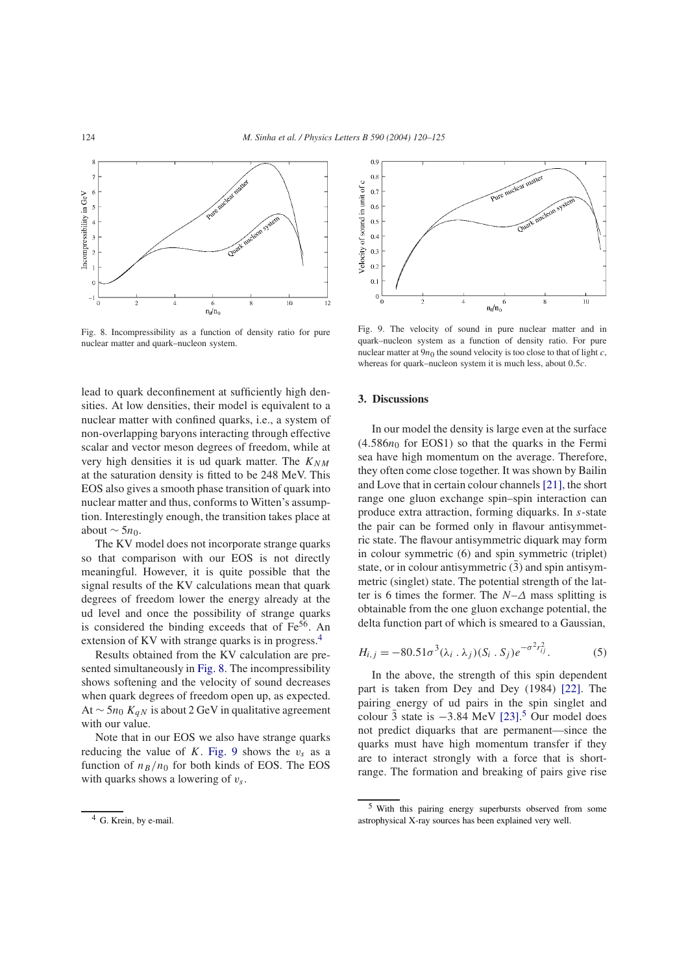

Fig. 8. Incompressibility as a function of density ratio for pure nuclear matter and quark–nucleon system.

lead to quark deconfinement at sufficiently high densities. At low densities, their model is equivalent to a nuclear matter with confined quarks, i.e., a system of non-overlapping baryons interacting through effective scalar and vector meson degrees of freedom, while at very high densities it is ud quark matter. The  $K_{NM}$ at the saturation density is fitted to be 248 MeV. This EOS also gives a smooth phase transition of quark into nuclear matter and thus, conforms to Witten's assumption. Interestingly enough, the transition takes place at about  $\sim$  5*n*<sub>0</sub>.

The KV model does not incorporate strange quarks so that comparison with our EOS is not directly meaningful. However, it is quite possible that the signal results of the KV calculations mean that quark degrees of freedom lower the energy already at the ud level and once the possibility of strange quarks is considered the binding exceeds that of  $Fe<sup>56</sup>$ . An extension of KV with strange quarks is in progress.<sup>4</sup>

Results obtained from the KV calculation are presented simultaneously in Fig. 8. The incompressibility shows softening and the velocity of sound decreases when quark degrees of freedom open up, as expected. At  $\sim$  5n<sub>0</sub> K<sub>qN</sub> is about 2 GeV in qualitative agreement with our value.

Note that in our EOS we also have strange quarks reducing the value of K. Fig. 9 shows the  $v_s$  as a function of  $n_B/n_0$  for both kinds of EOS. The EOS with quarks shows a lowering of  $v_s$ .



Fig. 9. The velocity of sound in pure nuclear matter and in quark–nucleon system as a function of density ratio. For pure nuclear matter at  $9n_0$  the sound velocity is too close to that of light c, whereas for quark–nucleon system it is much less, about 0.5c.

# **3. Discussions**

In our model the density is large even at the surface  $(4.586n_0$  for EOS1) so that the quarks in the Fermi sea have high momentum on the average. Therefore, they often come close together. It was shown by Bailin and Love that in certain colour channels [21], the short range one gluon exchange spin–spin interaction can produce extra attraction, forming diquarks. In s-state the pair can be formed only in flavour antisymmetric state. The flavour antisymmetric diquark may form in colour symmetric (6) and spin symmetric (triplet) state, or in colour antisymmetric  $(\overline{3})$  and spin antisymmetric (singlet) state. The potential strength of the latter is 6 times the former. The  $N-\Delta$  mass splitting is obtainable from the one gluon exchange potential, the delta function part of which is smeared to a Gaussian,

$$
H_{i,j} = -80.51\sigma^3(\lambda_i \cdot \lambda_j)(S_i \cdot S_j)e^{-\sigma^2 r_{ij}^2}.
$$
 (5)

In the above, the strength of this spin dependent part is taken from Dey and Dey (1984) [22]. The pairing energy of ud pairs in the spin singlet and colour  $\overline{3}$  state is  $-3.84$  MeV [23].<sup>5</sup> Our model does not predict diquarks that are permanent—since the quarks must have high momentum transfer if they are to interact strongly with a force that is shortrange. The formation and breaking of pairs give rise

<sup>&</sup>lt;sup>4</sup> G. Krein, by e-mail.

<sup>5</sup> With this pairing energy superbursts observed from some astrophysical X-ray sources has been explained very well.